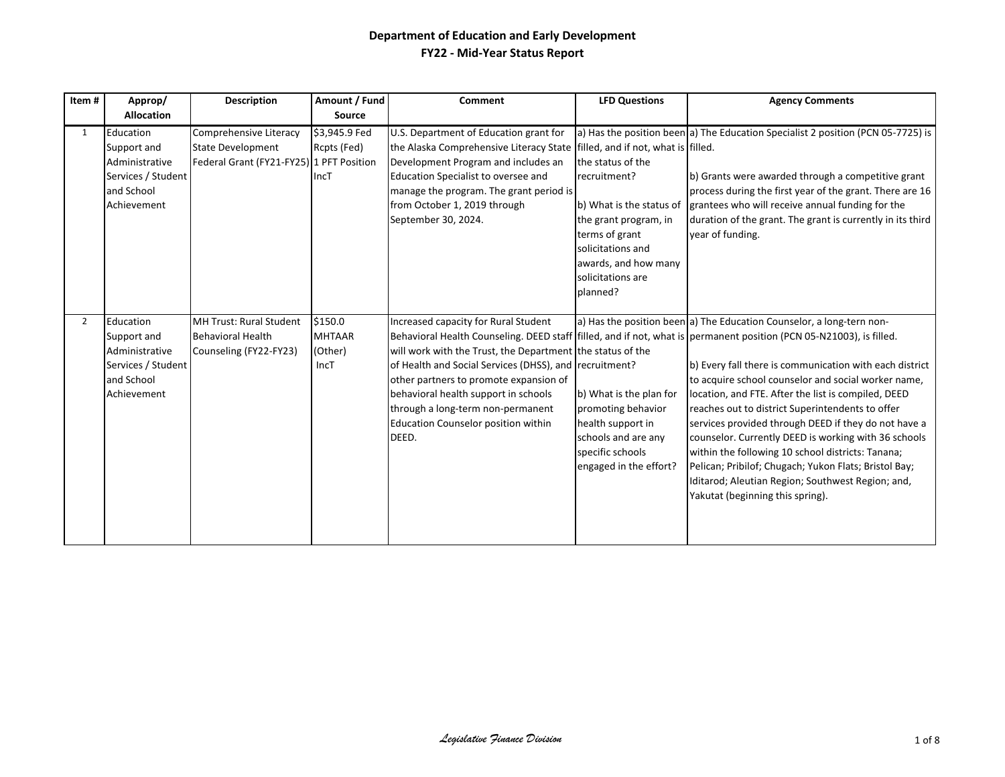| Item# | Approp/<br><b>Allocation</b>                                                                  | <b>Description</b>                                                                             | Amount / Fund<br><b>Source</b>              | Comment                                                                                                                                                                                                                                                                                                                                    | <b>LFD Questions</b>                                                                                                                                                                   | <b>Agency Comments</b>                                                                                                                                                                                                                                                                                                                                                                                                                                                                                                                                                                                                                                                                                                                           |
|-------|-----------------------------------------------------------------------------------------------|------------------------------------------------------------------------------------------------|---------------------------------------------|--------------------------------------------------------------------------------------------------------------------------------------------------------------------------------------------------------------------------------------------------------------------------------------------------------------------------------------------|----------------------------------------------------------------------------------------------------------------------------------------------------------------------------------------|--------------------------------------------------------------------------------------------------------------------------------------------------------------------------------------------------------------------------------------------------------------------------------------------------------------------------------------------------------------------------------------------------------------------------------------------------------------------------------------------------------------------------------------------------------------------------------------------------------------------------------------------------------------------------------------------------------------------------------------------------|
| 1     | Education<br>Support and<br>Administrative<br>Services / Student<br>and School<br>Achievement | Comprehensive Literacy<br><b>State Development</b><br>Federal Grant (FY21-FY25) 1 PFT Position | \$3,945.9 Fed<br>Rcpts (Fed)<br>IncT        | U.S. Department of Education grant for<br>the Alaska Comprehensive Literacy State filled, and if not, what is filled.<br>Development Program and includes an<br>Education Specialist to oversee and<br>manage the program. The grant period is<br>from October 1, 2019 through<br>September 30, 2024.                                      | the status of the<br>recruitment?<br>b) What is the status of<br>the grant program, in<br>terms of grant<br>solicitations and<br>awards, and how many<br>solicitations are<br>planned? | a) Has the position been a) The Education Specialist 2 position (PCN 05-7725) is<br>b) Grants were awarded through a competitive grant<br>process during the first year of the grant. There are 16<br>grantees who will receive annual funding for the<br>duration of the grant. The grant is currently in its third<br>vear of funding.                                                                                                                                                                                                                                                                                                                                                                                                         |
| 2     | Education<br>Support and<br>Administrative<br>Services / Student<br>and School<br>Achievement | MH Trust: Rural Student<br><b>Behavioral Health</b><br>Counseling (FY22-FY23)                  | \$150.0<br><b>MHTAAR</b><br>(Other)<br>IncT | Increased capacity for Rural Student<br>will work with the Trust, the Department the status of the<br>of Health and Social Services (DHSS), and recruitment?<br>other partners to promote expansion of<br>behavioral health support in schools<br>through a long-term non-permanent<br><b>Education Counselor position within</b><br>DEED. | b) What is the plan for<br>promoting behavior<br>health support in<br>schools and are any<br>specific schools<br>engaged in the effort?                                                | a) Has the position been a) The Education Counselor, a long-tern non-<br>Behavioral Health Counseling. DEED staff filled, and if not, what is permanent position (PCN 05-N21003), is filled.<br>b) Every fall there is communication with each district<br>to acquire school counselor and social worker name,<br>location, and FTE. After the list is compiled, DEED<br>reaches out to district Superintendents to offer<br>services provided through DEED if they do not have a<br>counselor. Currently DEED is working with 36 schools<br>within the following 10 school districts: Tanana;<br>Pelican; Pribilof; Chugach; Yukon Flats; Bristol Bay;<br>Iditarod; Aleutian Region; Southwest Region; and,<br>Yakutat (beginning this spring). |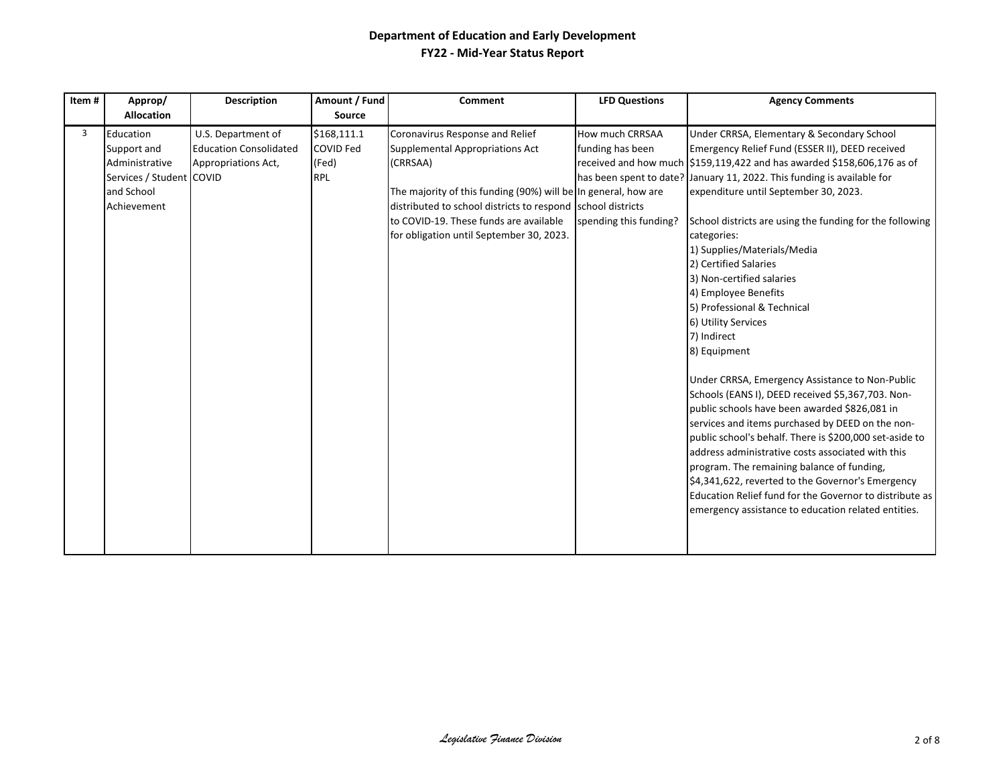| Item# | Approp/<br><b>Allocation</b>                                                                        | <b>Description</b>                                                         | Amount / Fund<br>Source                                | Comment                                                                                                                                                                                                                                                                                                      | <b>LFD Questions</b>                                          | <b>Agency Comments</b>                                                                                                                                                                                                                                                                                                                                                                                                                                                                                                                                                                                                                                                                                                                                                                                                                                                                                                                                                                                                                                                                                                                                      |
|-------|-----------------------------------------------------------------------------------------------------|----------------------------------------------------------------------------|--------------------------------------------------------|--------------------------------------------------------------------------------------------------------------------------------------------------------------------------------------------------------------------------------------------------------------------------------------------------------------|---------------------------------------------------------------|-------------------------------------------------------------------------------------------------------------------------------------------------------------------------------------------------------------------------------------------------------------------------------------------------------------------------------------------------------------------------------------------------------------------------------------------------------------------------------------------------------------------------------------------------------------------------------------------------------------------------------------------------------------------------------------------------------------------------------------------------------------------------------------------------------------------------------------------------------------------------------------------------------------------------------------------------------------------------------------------------------------------------------------------------------------------------------------------------------------------------------------------------------------|
| 3     | Education<br>Support and<br>Administrative<br>Services / Student COVID<br>and School<br>Achievement | U.S. Department of<br><b>Education Consolidated</b><br>Appropriations Act, | \$168,111.1<br><b>COVID Fed</b><br>(Fed)<br><b>RPL</b> | Coronavirus Response and Relief<br><b>Supplemental Appropriations Act</b><br>(CRRSAA)<br>The majority of this funding (90%) will be In general, how are<br>distributed to school districts to respond school districts<br>to COVID-19. These funds are available<br>for obligation until September 30, 2023. | How much CRRSAA<br>funding has been<br>spending this funding? | Under CRRSA, Elementary & Secondary School<br>Emergency Relief Fund (ESSER II), DEED received<br>received and how much $\frac{\xi_{159,119,422}}{\xi_{159,119,422}}$ and has awarded \$158,606,176 as of<br>has been spent to date? January 11, 2022. This funding is available for<br>expenditure until September 30, 2023.<br>School districts are using the funding for the following<br>categories:<br>1) Supplies/Materials/Media<br>2) Certified Salaries<br>3) Non-certified salaries<br>4) Employee Benefits<br>5) Professional & Technical<br>6) Utility Services<br>7) Indirect<br>8) Equipment<br>Under CRRSA, Emergency Assistance to Non-Public<br>Schools (EANS I), DEED received \$5,367,703. Non-<br>public schools have been awarded \$826,081 in<br>services and items purchased by DEED on the non-<br>public school's behalf. There is \$200,000 set-aside to<br>address administrative costs associated with this<br>program. The remaining balance of funding,<br>\$4,341,622, reverted to the Governor's Emergency<br>Education Relief fund for the Governor to distribute as<br>emergency assistance to education related entities. |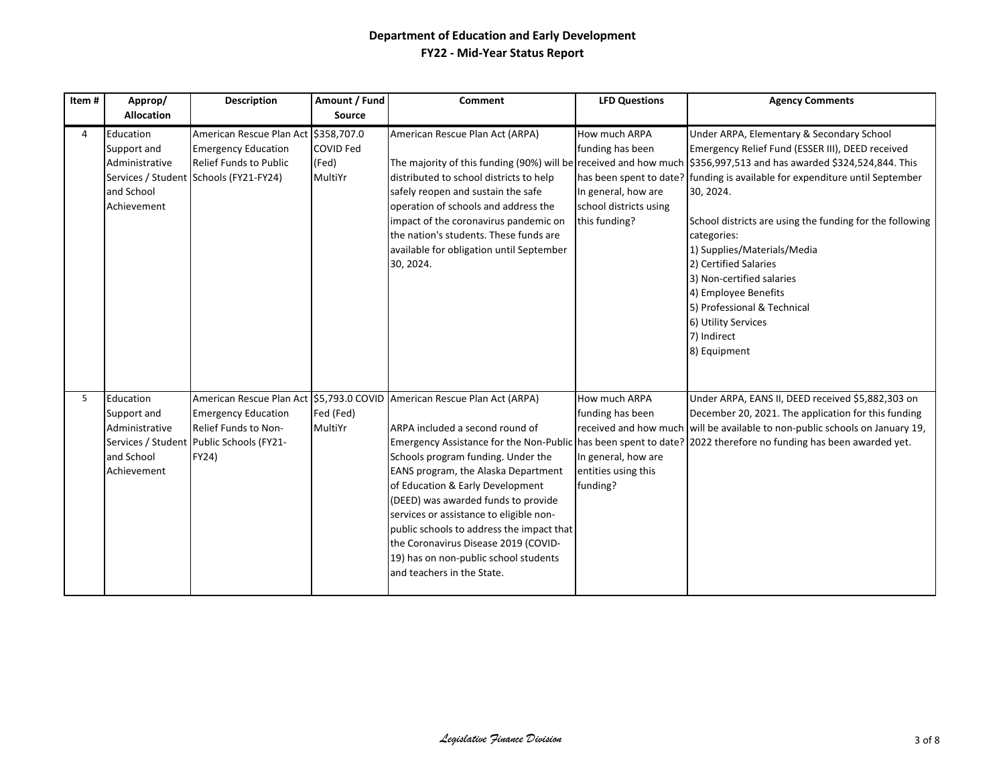| Item# | Approp/                                                                 | <b>Description</b>                                                                                                                    | Amount / Fund                        | <b>Comment</b>                                                                                                                                                                                                                                                                                                                                                                                                                                                             | <b>LFD Questions</b>                                                                                                 | <b>Agency Comments</b>                                                                                                                                                                                                                                                                                                                                                                                                                                                                                                                                                                        |
|-------|-------------------------------------------------------------------------|---------------------------------------------------------------------------------------------------------------------------------------|--------------------------------------|----------------------------------------------------------------------------------------------------------------------------------------------------------------------------------------------------------------------------------------------------------------------------------------------------------------------------------------------------------------------------------------------------------------------------------------------------------------------------|----------------------------------------------------------------------------------------------------------------------|-----------------------------------------------------------------------------------------------------------------------------------------------------------------------------------------------------------------------------------------------------------------------------------------------------------------------------------------------------------------------------------------------------------------------------------------------------------------------------------------------------------------------------------------------------------------------------------------------|
|       | <b>Allocation</b>                                                       |                                                                                                                                       | <b>Source</b>                        |                                                                                                                                                                                                                                                                                                                                                                                                                                                                            |                                                                                                                      |                                                                                                                                                                                                                                                                                                                                                                                                                                                                                                                                                                                               |
| 4     | Education<br>Support and<br>Administrative<br>and School<br>Achievement | American Rescue Plan Act 5358,707.0<br><b>Emergency Education</b><br>Relief Funds to Public<br>Services / Student Schools (FY21-FY24) | <b>COVID Fed</b><br>(Fed)<br>MultiYr | American Rescue Plan Act (ARPA)<br>distributed to school districts to help<br>safely reopen and sustain the safe<br>operation of schools and address the<br>impact of the coronavirus pandemic on<br>the nation's students. These funds are<br>available for obligation until September<br>30, 2024.                                                                                                                                                                       | How much ARPA<br>funding has been<br>In general, how are<br>school districts using<br>this funding?                  | Under ARPA, Elementary & Secondary School<br>Emergency Relief Fund (ESSER III), DEED received<br>The majority of this funding (90%) will be received and how much \$356,997,513 and has awarded \$324,524,844. This<br>has been spent to date? funding is available for expenditure until September<br>30, 2024.<br>School districts are using the funding for the following<br>categories:<br>1) Supplies/Materials/Media<br>2) Certified Salaries<br>3) Non-certified salaries<br>4) Employee Benefits<br>5) Professional & Technical<br>6) Utility Services<br>7) Indirect<br>8) Equipment |
| 5     | Education<br>Support and<br>Administrative<br>and School<br>Achievement | <b>Emergency Education</b><br>Relief Funds to Non-<br>Services / Student Public Schools (FY21-<br>FY24)                               | Fed (Fed)<br>MultiYr                 | American Rescue Plan Act \$5,793.0 COVID American Rescue Plan Act (ARPA)<br>ARPA included a second round of<br>Schools program funding. Under the<br>EANS program, the Alaska Department<br>of Education & Early Development<br>(DEED) was awarded funds to provide<br>services or assistance to eligible non-<br>public schools to address the impact that<br>the Coronavirus Disease 2019 (COVID-<br>19) has on non-public school students<br>and teachers in the State. | How much ARPA<br>funding has been<br>received and how much<br>In general, how are<br>entities using this<br>funding? | Under ARPA, EANS II, DEED received \$5,882,303 on<br>December 20, 2021. The application for this funding<br>will be available to non-public schools on January 19,<br>Emergency Assistance for the Non-Public has been spent to date? 2022 therefore no funding has been awarded yet.                                                                                                                                                                                                                                                                                                         |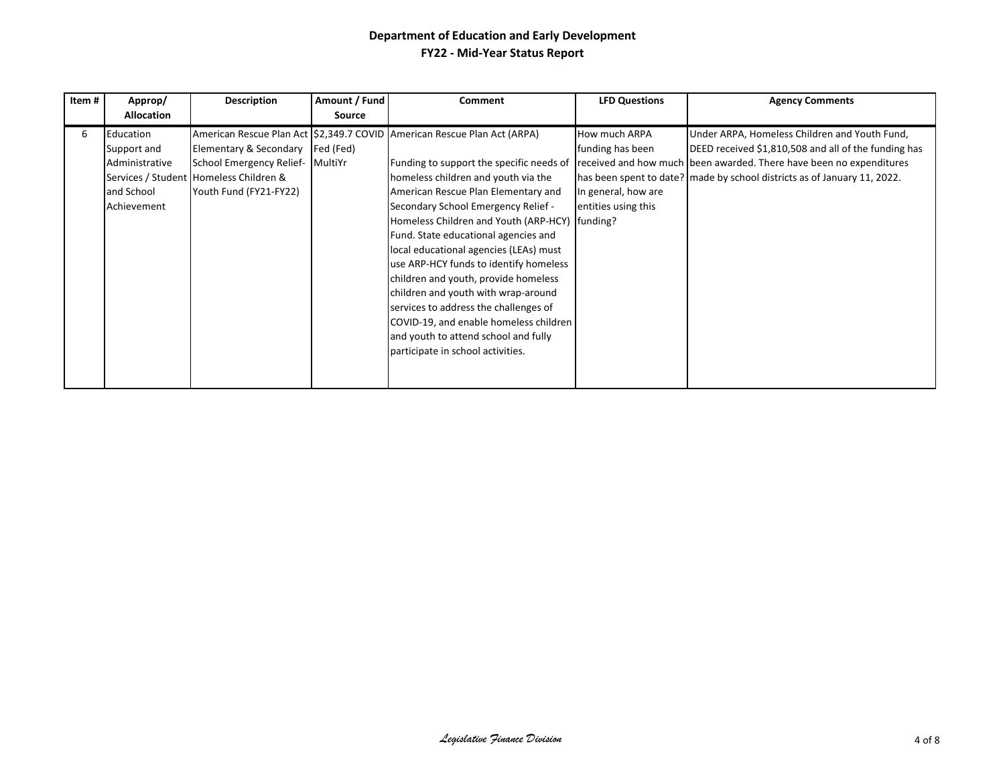| Item# | Approp/                                                                 | <b>Description</b>                                                                                                     | Amount / Fund        | Comment                                                                                                                                                                                                                                                                                                                                                                                                                   | <b>LFD Questions</b>                                                                   | <b>Agency Comments</b>                                                                                                                                                                                                                                   |
|-------|-------------------------------------------------------------------------|------------------------------------------------------------------------------------------------------------------------|----------------------|---------------------------------------------------------------------------------------------------------------------------------------------------------------------------------------------------------------------------------------------------------------------------------------------------------------------------------------------------------------------------------------------------------------------------|----------------------------------------------------------------------------------------|----------------------------------------------------------------------------------------------------------------------------------------------------------------------------------------------------------------------------------------------------------|
|       | <b>Allocation</b>                                                       |                                                                                                                        | <b>Source</b>        |                                                                                                                                                                                                                                                                                                                                                                                                                           |                                                                                        |                                                                                                                                                                                                                                                          |
| 6     | Education<br>Support and<br>Administrative<br>and School<br>Achievement | Elementary & Secondary<br>School Emergency Relief-<br>Services / Student Homeless Children &<br>Youth Fund (FY21-FY22) | Fed (Fed)<br>MultiYr | American Rescue Plan Act 52,349.7 COVID American Rescue Plan Act (ARPA)<br>Funding to support the specific needs of<br>homeless children and youth via the<br>American Rescue Plan Elementary and<br>Secondary School Emergency Relief -                                                                                                                                                                                  | <b>How much ARPA</b><br>funding has been<br>In general, how are<br>entities using this | Under ARPA, Homeless Children and Youth Fund,<br>DEED received \$1,810,508 and all of the funding has<br>received and how much been awarded. There have been no expenditures<br>has been spent to date? made by school districts as of January 11, 2022. |
|       |                                                                         |                                                                                                                        |                      | Homeless Children and Youth (ARP-HCY) funding?<br>Fund. State educational agencies and<br>local educational agencies (LEAs) must<br>use ARP-HCY funds to identify homeless<br>children and youth, provide homeless<br>children and youth with wrap-around<br>services to address the challenges of<br>COVID-19, and enable homeless children<br>and youth to attend school and fully<br>participate in school activities. |                                                                                        |                                                                                                                                                                                                                                                          |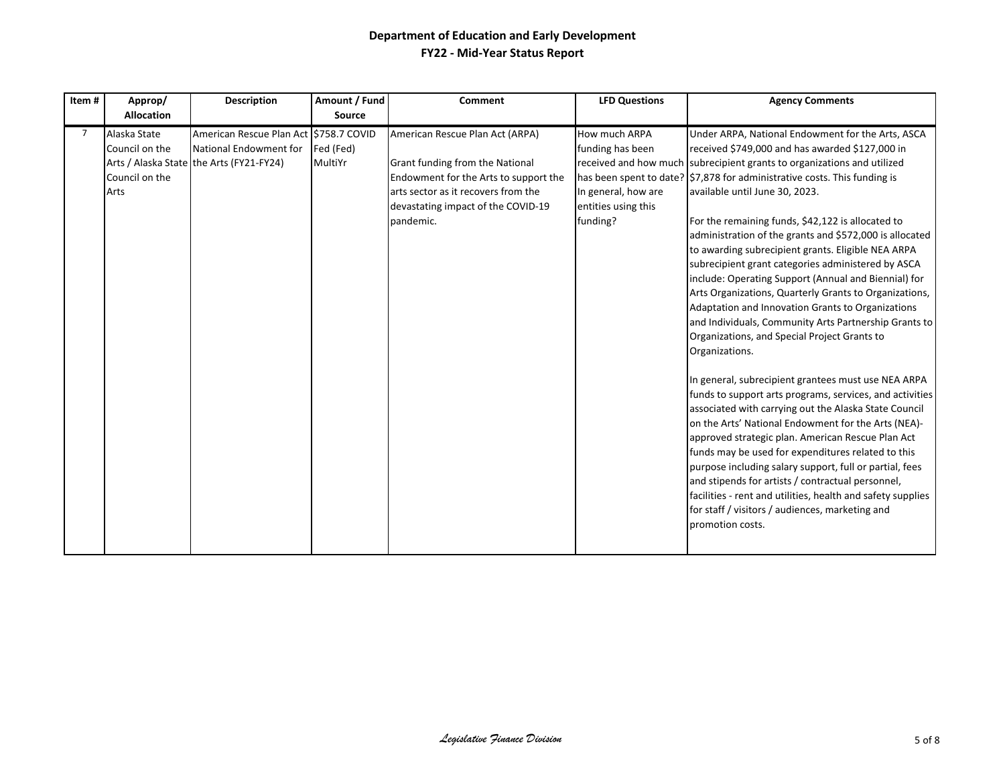| Item#       | Approp/<br><b>Allocation</b>                             | <b>Description</b>                                                                                           | Amount / Fund<br>Source | <b>Comment</b>                                                                                                                                                                                        | <b>LFD Questions</b>                                                                        | <b>Agency Comments</b>                                                                                                                                                                                                                                                                                                                                                                                                                                                                                                                                                                                                                                                                                                                                                                                                                                                                                                                                                                                                                                                                                                                                                                                                                                                                                                                                                                                                             |
|-------------|----------------------------------------------------------|--------------------------------------------------------------------------------------------------------------|-------------------------|-------------------------------------------------------------------------------------------------------------------------------------------------------------------------------------------------------|---------------------------------------------------------------------------------------------|------------------------------------------------------------------------------------------------------------------------------------------------------------------------------------------------------------------------------------------------------------------------------------------------------------------------------------------------------------------------------------------------------------------------------------------------------------------------------------------------------------------------------------------------------------------------------------------------------------------------------------------------------------------------------------------------------------------------------------------------------------------------------------------------------------------------------------------------------------------------------------------------------------------------------------------------------------------------------------------------------------------------------------------------------------------------------------------------------------------------------------------------------------------------------------------------------------------------------------------------------------------------------------------------------------------------------------------------------------------------------------------------------------------------------------|
| $7^{\circ}$ | Alaska State<br>Council on the<br>Council on the<br>Arts | American Rescue Plan Act \$758.7 COVID<br>National Endowment for<br>Arts / Alaska State the Arts (FY21-FY24) | Fed (Fed)<br>MultiYr    | American Rescue Plan Act (ARPA)<br>Grant funding from the National<br>Endowment for the Arts to support the<br>arts sector as it recovers from the<br>devastating impact of the COVID-19<br>pandemic. | How much ARPA<br>funding has been<br>In general, how are<br>entities using this<br>funding? | Under ARPA, National Endowment for the Arts, ASCA<br>received \$749,000 and has awarded \$127,000 in<br>received and how much subrecipient grants to organizations and utilized<br>has been spent to date?   \$7,878 for administrative costs. This funding is<br>available until June 30, 2023.<br>For the remaining funds, \$42,122 is allocated to<br>administration of the grants and \$572,000 is allocated<br>to awarding subrecipient grants. Eligible NEA ARPA<br>subrecipient grant categories administered by ASCA<br>include: Operating Support (Annual and Biennial) for<br>Arts Organizations, Quarterly Grants to Organizations,<br>Adaptation and Innovation Grants to Organizations<br>and Individuals, Community Arts Partnership Grants to<br>Organizations, and Special Project Grants to<br>Organizations.<br>In general, subrecipient grantees must use NEA ARPA<br>funds to support arts programs, services, and activities<br>associated with carrying out the Alaska State Council<br>on the Arts' National Endowment for the Arts (NEA)-<br>approved strategic plan. American Rescue Plan Act<br>funds may be used for expenditures related to this<br>purpose including salary support, full or partial, fees<br>and stipends for artists / contractual personnel,<br>facilities - rent and utilities, health and safety supplies<br>for staff / visitors / audiences, marketing and<br>promotion costs. |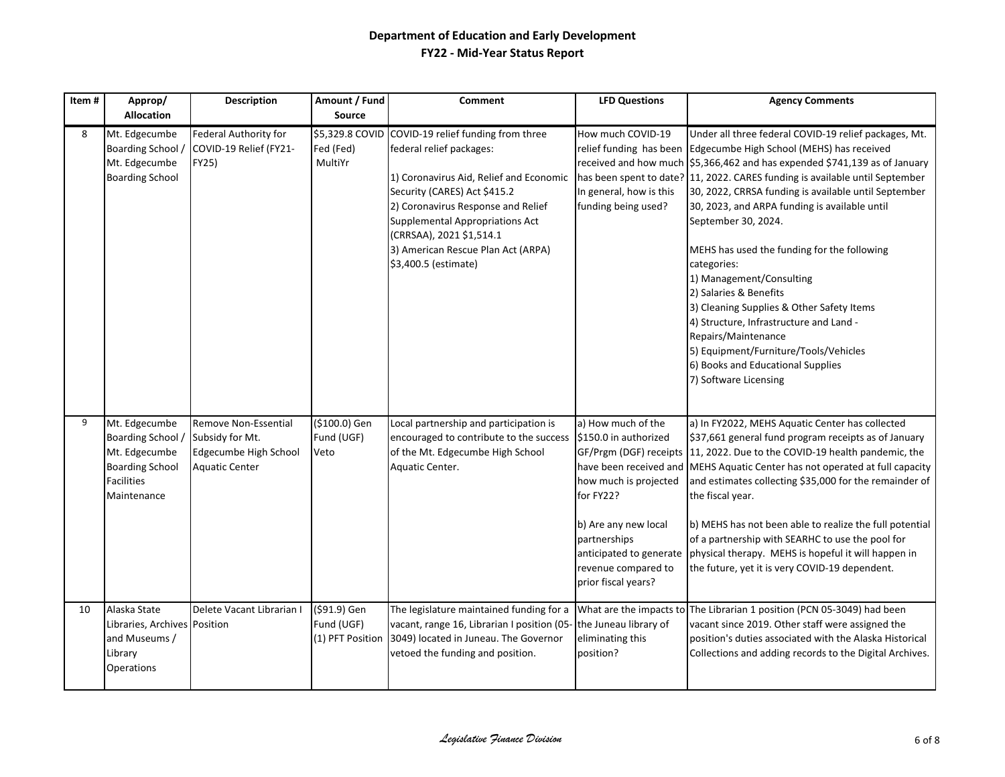| Item# | Approp/                                                                                                  | <b>Description</b>                                                                        | Amount / Fund                           | <b>Comment</b>                                                                                                                                                                                                                                                                                                      | <b>LFD Questions</b>                                                                                                                                                                               | <b>Agency Comments</b>                                                                                                                                                                                                                                                                                                                                                                                                                                                                                                                                                                                                                                                                                                                                             |
|-------|----------------------------------------------------------------------------------------------------------|-------------------------------------------------------------------------------------------|-----------------------------------------|---------------------------------------------------------------------------------------------------------------------------------------------------------------------------------------------------------------------------------------------------------------------------------------------------------------------|----------------------------------------------------------------------------------------------------------------------------------------------------------------------------------------------------|--------------------------------------------------------------------------------------------------------------------------------------------------------------------------------------------------------------------------------------------------------------------------------------------------------------------------------------------------------------------------------------------------------------------------------------------------------------------------------------------------------------------------------------------------------------------------------------------------------------------------------------------------------------------------------------------------------------------------------------------------------------------|
|       | <b>Allocation</b>                                                                                        |                                                                                           | <b>Source</b>                           |                                                                                                                                                                                                                                                                                                                     |                                                                                                                                                                                                    |                                                                                                                                                                                                                                                                                                                                                                                                                                                                                                                                                                                                                                                                                                                                                                    |
| 8     | Mt. Edgecumbe<br><b>Boarding School</b><br>Mt. Edgecumbe<br><b>Boarding School</b>                       | Federal Authority for<br>COVID-19 Relief (FY21-<br>FY25)                                  | \$5,329.8 COVID<br>Fed (Fed)<br>MultiYr | COVID-19 relief funding from three<br>federal relief packages:<br>1) Coronavirus Aid, Relief and Economic<br>Security (CARES) Act \$415.2<br>2) Coronavirus Response and Relief<br><b>Supplemental Appropriations Act</b><br>(CRRSAA), 2021 \$1,514.1<br>3) American Rescue Plan Act (ARPA)<br>\$3,400.5 (estimate) | How much COVID-19<br>In general, how is this<br>funding being used?                                                                                                                                | Under all three federal COVID-19 relief packages, Mt.<br>relief funding has been Edgecumbe High School (MEHS) has received<br>received and how much \$5,366,462 and has expended \$741,139 as of January<br>has been spent to date? 11, 2022. CARES funding is available until September<br>30, 2022, CRRSA funding is available until September<br>30, 2023, and ARPA funding is available until<br>September 30, 2024.<br>MEHS has used the funding for the following<br>categories:<br>1) Management/Consulting<br>2) Salaries & Benefits<br>3) Cleaning Supplies & Other Safety Items<br>4) Structure, Infrastructure and Land -<br>Repairs/Maintenance<br>5) Equipment/Furniture/Tools/Vehicles<br>6) Books and Educational Supplies<br>7) Software Licensing |
| 9     | Mt. Edgecumbe<br>Boarding School<br>Mt. Edgecumbe<br><b>Boarding School</b><br>Facilities<br>Maintenance | Remove Non-Essential<br>Subsidy for Mt.<br>Edgecumbe High School<br><b>Aquatic Center</b> | (\$100.0) Gen<br>Fund (UGF)<br>Veto     | Local partnership and participation is<br>encouraged to contribute to the success<br>of the Mt. Edgecumbe High School<br>Aquatic Center.                                                                                                                                                                            | a) How much of the<br>\$150.0 in authorized<br>how much is projected<br>for FY22?<br>b) Are any new local<br>partnerships<br>anticipated to generate<br>revenue compared to<br>prior fiscal years? | a) In FY2022, MEHS Aquatic Center has collected<br>\$37,661 general fund program receipts as of January<br>GF/Prgm (DGF) receipts 11, 2022. Due to the COVID-19 health pandemic, the<br>have been received and MEHS Aquatic Center has not operated at full capacity<br>and estimates collecting \$35,000 for the remainder of<br>the fiscal year.<br>b) MEHS has not been able to realize the full potential<br>of a partnership with SEARHC to use the pool for<br>physical therapy. MEHS is hopeful it will happen in<br>the future, yet it is very COVID-19 dependent.                                                                                                                                                                                         |
| 10    | Alaska State<br>Libraries, Archives Position<br>and Museums /<br>Library<br><b>Operations</b>            | Delete Vacant Librarian I                                                                 | (\$91.9) Gen<br>Fund (UGF)              | The legislature maintained funding for a<br>vacant, range 16, Librarian I position (05- the Juneau library of<br>(1) PFT Position 3049) located in Juneau. The Governor<br>vetoed the funding and position.                                                                                                         | eliminating this<br>position?                                                                                                                                                                      | What are the impacts to The Librarian 1 position (PCN 05-3049) had been<br>vacant since 2019. Other staff were assigned the<br>position's duties associated with the Alaska Historical<br>Collections and adding records to the Digital Archives.                                                                                                                                                                                                                                                                                                                                                                                                                                                                                                                  |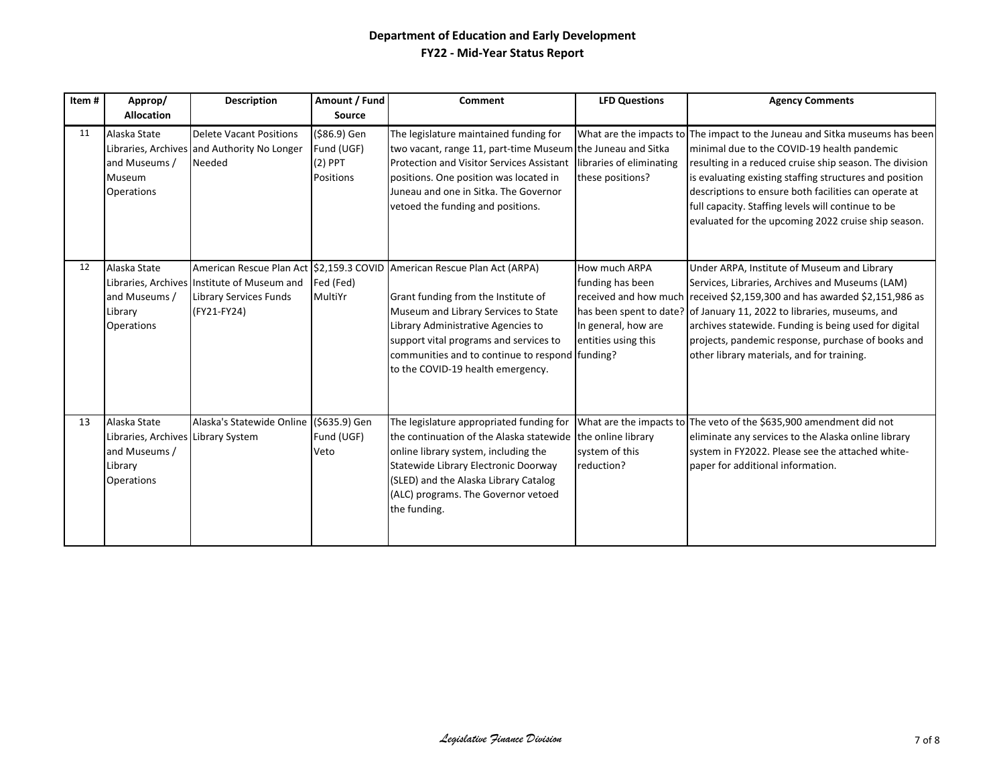| Item# | Approp/<br><b>Allocation</b>                                                                 | Description                                                                                 | Amount / Fund<br>Source                              | Comment                                                                                                                                                                                                                                                                                                                        | <b>LFD Questions</b>                                                            | <b>Agency Comments</b>                                                                                                                                                                                                                                                                                                                                                                                                 |
|-------|----------------------------------------------------------------------------------------------|---------------------------------------------------------------------------------------------|------------------------------------------------------|--------------------------------------------------------------------------------------------------------------------------------------------------------------------------------------------------------------------------------------------------------------------------------------------------------------------------------|---------------------------------------------------------------------------------|------------------------------------------------------------------------------------------------------------------------------------------------------------------------------------------------------------------------------------------------------------------------------------------------------------------------------------------------------------------------------------------------------------------------|
| 11    | Alaska State<br>and Museums /<br>Museum<br>Operations                                        | <b>Delete Vacant Positions</b><br>Libraries, Archives and Authority No Longer<br>Needed     | (\$86.9) Gen<br>Fund (UGF)<br>$(2)$ PPT<br>Positions | The legislature maintained funding for<br>two vacant, range 11, part-time Museum the Juneau and Sitka<br><b>Protection and Visitor Services Assistant</b><br>positions. One position was located in<br>Juneau and one in Sitka. The Governor<br>vetoed the funding and positions.                                              | libraries of eliminating<br>these positions?                                    | What are the impacts to The impact to the Juneau and Sitka museums has been<br>minimal due to the COVID-19 health pandemic<br>resulting in a reduced cruise ship season. The division<br>is evaluating existing staffing structures and position<br>descriptions to ensure both facilities can operate at<br>full capacity. Staffing levels will continue to be<br>evaluated for the upcoming 2022 cruise ship season. |
| 12    | Alaska State<br>and Museums /<br>Library<br>Operations                                       | Libraries, Archives Institute of Museum and<br><b>Library Services Funds</b><br>(FY21-FY24) | Fed (Fed)<br>MultiYr                                 | American Rescue Plan Act 52,159.3 COVID American Rescue Plan Act (ARPA)<br>Grant funding from the Institute of<br>Museum and Library Services to State<br>Library Administrative Agencies to<br>support vital programs and services to<br>communities and to continue to respond funding?<br>to the COVID-19 health emergency. | How much ARPA<br>funding has been<br>In general, how are<br>entities using this | Under ARPA, Institute of Museum and Library<br>Services, Libraries, Archives and Museums (LAM)<br>received and how much received \$2,159,300 and has awarded \$2,151,986 as<br>has been spent to date? of January 11, 2022 to libraries, museums, and<br>archives statewide. Funding is being used for digital<br>projects, pandemic response, purchase of books and<br>other library materials, and for training.     |
| 13    | Alaska State<br>Libraries, Archives Library System<br>and Museums /<br>Library<br>Operations | Alaska's Statewide Online (\$635.9) Gen                                                     | Fund (UGF)<br>Veto                                   | The legislature appropriated funding for<br>the continuation of the Alaska statewide the online library<br>online library system, including the<br>Statewide Library Electronic Doorway<br>(SLED) and the Alaska Library Catalog<br>(ALC) programs. The Governor vetoed<br>the funding.                                        | system of this<br>reduction?                                                    | What are the impacts to The veto of the \$635,900 amendment did not<br>eliminate any services to the Alaska online library<br>system in FY2022. Please see the attached white-<br>paper for additional information.                                                                                                                                                                                                    |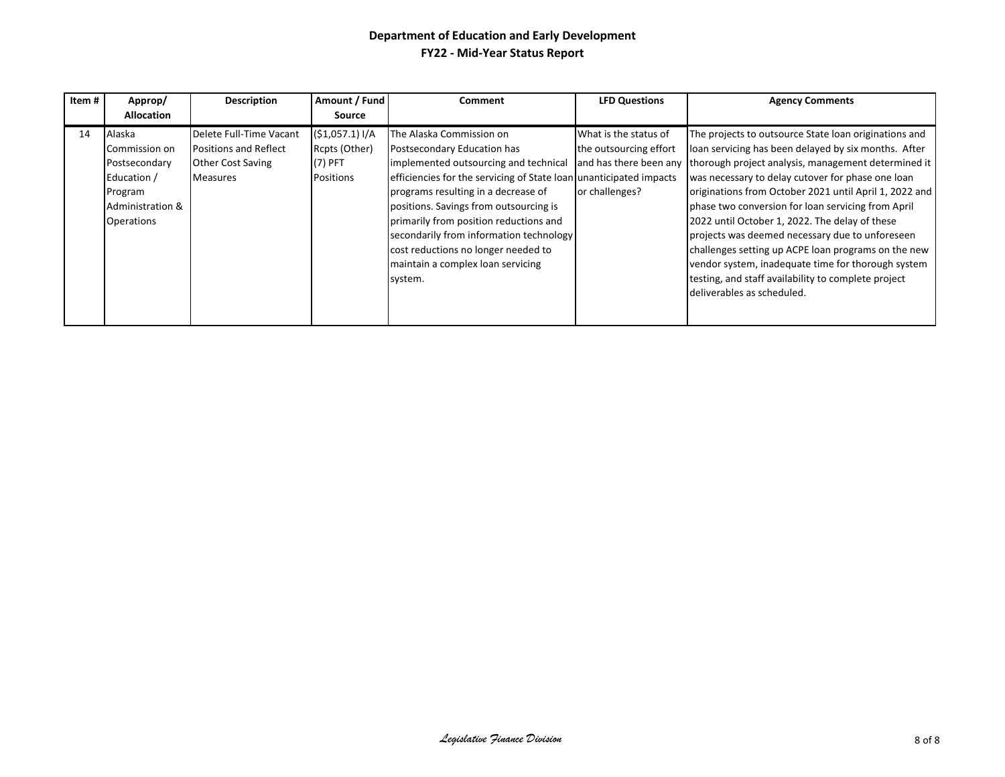| Item# | Approp/                                                                                                     | <b>Description</b>                                                                                     | Amount / Fund                                             | <b>Comment</b>                                                                                                                                                                                                                                                                                                                                                                                             | <b>LFD Questions</b>                                              | <b>Agency Comments</b>                                                                                                                                                                                                                                                                                                                                                                                                                                                                                |
|-------|-------------------------------------------------------------------------------------------------------------|--------------------------------------------------------------------------------------------------------|-----------------------------------------------------------|------------------------------------------------------------------------------------------------------------------------------------------------------------------------------------------------------------------------------------------------------------------------------------------------------------------------------------------------------------------------------------------------------------|-------------------------------------------------------------------|-------------------------------------------------------------------------------------------------------------------------------------------------------------------------------------------------------------------------------------------------------------------------------------------------------------------------------------------------------------------------------------------------------------------------------------------------------------------------------------------------------|
|       | <b>Allocation</b>                                                                                           |                                                                                                        | Source                                                    |                                                                                                                                                                                                                                                                                                                                                                                                            |                                                                   |                                                                                                                                                                                                                                                                                                                                                                                                                                                                                                       |
| 14    | Alaska<br>Commission on<br>Postsecondary<br>Education /<br>Program<br>Administration &<br><b>Operations</b> | Delete Full-Time Vacant<br><b>Positions and Reflect</b><br><b>Other Cost Saving</b><br><b>Measures</b> | (51,057.1) I/A<br>Rcpts (Other)<br>$(7)$ PFT<br>Positions | The Alaska Commission on<br>Postsecondary Education has<br>implemented outsourcing and technical and has there been any<br>efficiencies for the servicing of State Ioan unanticipated impacts<br>programs resulting in a decrease of<br>positions. Savings from outsourcing is<br>primarily from position reductions and<br>secondarily from information technology<br>cost reductions no longer needed to | What is the status of<br>the outsourcing effort<br>or challenges? | The projects to outsource State loan originations and<br>loan servicing has been delayed by six months. After<br>thorough project analysis, management determined it<br>was necessary to delay cutover for phase one loan<br>originations from October 2021 until April 1, 2022 and<br>phase two conversion for loan servicing from April<br>2022 until October 1, 2022. The delay of these<br>projects was deemed necessary due to unforeseen<br>challenges setting up ACPE loan programs on the new |
|       |                                                                                                             |                                                                                                        |                                                           | maintain a complex loan servicing<br>system.                                                                                                                                                                                                                                                                                                                                                               |                                                                   | vendor system, inadequate time for thorough system<br>testing, and staff availability to complete project<br>Ideliverables as scheduled.                                                                                                                                                                                                                                                                                                                                                              |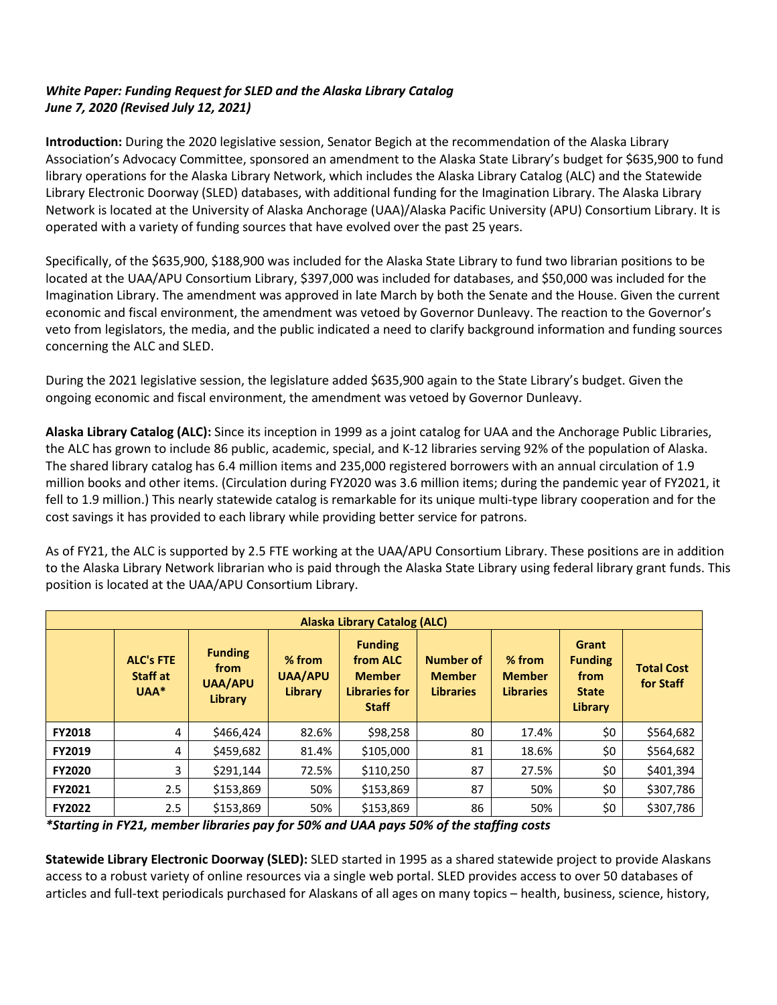# *White Paper: Funding Request for SLED and the Alaska Library Catalog June 7, 2020 (Revised July 12, 2021)*

**Introduction:** During the 2020 legislative session, Senator Begich at the recommendation of the Alaska Library Association's Advocacy Committee, sponsored an amendment to the Alaska State Library's budget for \$635,900 to fund library operations for the Alaska Library Network, which includes the Alaska Library Catalog (ALC) and the Statewide Library Electronic Doorway (SLED) databases, with additional funding for the Imagination Library. The Alaska Library Network is located at the University of Alaska Anchorage (UAA)/Alaska Pacific University (APU) Consortium Library. It is operated with a variety of funding sources that have evolved over the past 25 years.

Specifically, of the \$635,900, \$188,900 was included for the Alaska State Library to fund two librarian positions to be located at the UAA/APU Consortium Library, \$397,000 was included for databases, and \$50,000 was included for the Imagination Library. The amendment was approved in late March by both the Senate and the House. Given the current economic and fiscal environment, the amendment was vetoed by Governor Dunleavy. The reaction to the Governor's veto from legislators, the media, and the public indicated a need to clarify background information and funding sources concerning the ALC and SLED.

During the 2021 legislative session, the legislature added \$635,900 again to the State Library's budget. Given the ongoing economic and fiscal environment, the amendment was vetoed by Governor Dunleavy.

**Alaska Library Catalog (ALC):** Since its inception in 1999 as a joint catalog for UAA and the Anchorage Public Libraries, the ALC has grown to include 86 public, academic, special, and K-12 libraries serving 92% of the population of Alaska. The shared library catalog has 6.4 million items and 235,000 registered borrowers with an annual circulation of 1.9 million books and other items. (Circulation during FY2020 was 3.6 million items; during the pandemic year of FY2021, it fell to 1.9 million.) This nearly statewide catalog is remarkable for its unique multi-type library cooperation and for the cost savings it has provided to each library while providing better service for patrons.

As of FY21, the ALC is supported by 2.5 FTE working at the UAA/APU Consortium Library. These positions are in addition to the Alaska Library Network librarian who is paid through the Alaska State Library using federal library grant funds. This position is located at the UAA/APU Consortium Library.

|               | Alaska Library Catalog (ALC)           |                                                     |                                     |                                                                              |                                                |                                               |                                                            |                                |  |
|---------------|----------------------------------------|-----------------------------------------------------|-------------------------------------|------------------------------------------------------------------------------|------------------------------------------------|-----------------------------------------------|------------------------------------------------------------|--------------------------------|--|
|               | <b>ALC's FTE</b><br>Staff at<br>$UAA*$ | <b>Funding</b><br>from<br><b>UAA/APU</b><br>Library | % from<br><b>UAA/APU</b><br>Library | <b>Funding</b><br>from ALC<br><b>Member</b><br>Libraries for<br><b>Staff</b> | Number of<br><b>Member</b><br><b>Libraries</b> | $%$ from<br><b>Member</b><br><b>Libraries</b> | Grant<br><b>Funding</b><br>from<br><b>State</b><br>Library | <b>Total Cost</b><br>for Staff |  |
| <b>FY2018</b> | 4                                      | \$466,424                                           | 82.6%                               | \$98,258                                                                     | 80                                             | 17.4%                                         | \$0                                                        | \$564,682                      |  |
| <b>FY2019</b> | 4                                      | \$459,682                                           | 81.4%                               | \$105,000                                                                    | 81                                             | 18.6%                                         | \$0                                                        | \$564,682                      |  |
| <b>FY2020</b> | 3                                      | \$291,144                                           | 72.5%                               | \$110,250                                                                    | 87                                             | 27.5%                                         | \$0                                                        | \$401,394                      |  |
| <b>FY2021</b> | 2.5                                    | \$153,869                                           | 50%                                 | \$153,869                                                                    | 87                                             | 50%                                           | \$0                                                        | \$307,786                      |  |
| <b>FY2022</b> | 2.5                                    | \$153,869                                           | 50%                                 | \$153,869                                                                    | 86                                             | 50%                                           | \$0                                                        | \$307,786                      |  |

*\*Starting in FY21, member libraries pay for 50% and UAA pays 50% of the staffing costs*

**Statewide Library Electronic Doorway (SLED):** SLED started in 1995 as a shared statewide project to provide Alaskans access to a robust variety of online resources via a single web portal. SLED provides access to over 50 databases of articles and full-text periodicals purchased for Alaskans of all ages on many topics – health, business, science, history,